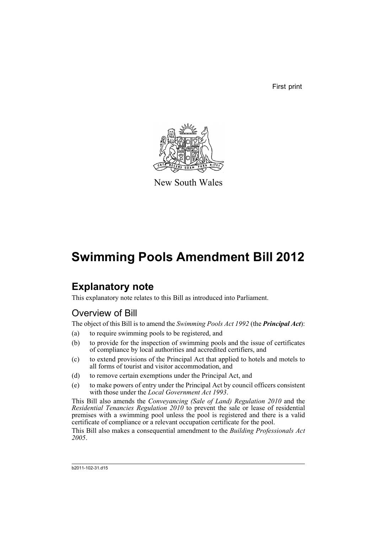First print



New South Wales

# **Swimming Pools Amendment Bill 2012**

## **Explanatory note**

This explanatory note relates to this Bill as introduced into Parliament.

## Overview of Bill

The object of this Bill is to amend the *Swimming Pools Act 1992* (the *Principal Act*):

- (a) to require swimming pools to be registered, and
- (b) to provide for the inspection of swimming pools and the issue of certificates of compliance by local authorities and accredited certifiers, and
- (c) to extend provisions of the Principal Act that applied to hotels and motels to all forms of tourist and visitor accommodation, and
- (d) to remove certain exemptions under the Principal Act, and
- (e) to make powers of entry under the Principal Act by council officers consistent with those under the *Local Government Act 1993*.

This Bill also amends the *Conveyancing (Sale of Land) Regulation 2010* and the *Residential Tenancies Regulation 2010* to prevent the sale or lease of residential premises with a swimming pool unless the pool is registered and there is a valid certificate of compliance or a relevant occupation certificate for the pool.

This Bill also makes a consequential amendment to the *Building Professionals Act 2005*.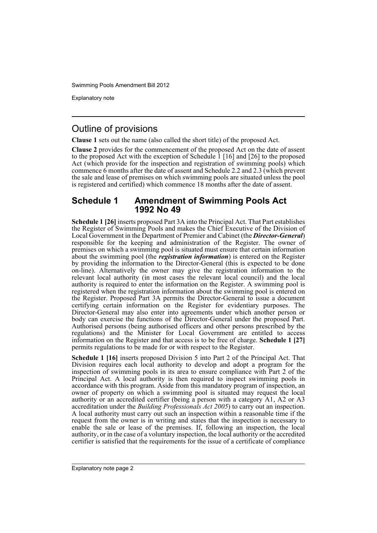Explanatory note

## Outline of provisions

**Clause 1** sets out the name (also called the short title) of the proposed Act.

**Clause 2** provides for the commencement of the proposed Act on the date of assent to the proposed Act with the exception of Schedule 1 [16] and [26] to the proposed Act (which provide for the inspection and registration of swimming pools) which commence 6 months after the date of assent and Schedule 2.2 and 2.3 (which prevent the sale and lease of premises on which swimming pools are situated unless the pool is registered and certified) which commence 18 months after the date of assent.

## **Schedule 1 Amendment of Swimming Pools Act 1992 No 49**

**Schedule 1 [26]** inserts proposed Part 3A into the Principal Act. That Part establishes the Register of Swimming Pools and makes the Chief Executive of the Division of Local Government in the Department of Premier and Cabinet (the *Director-General*) responsible for the keeping and administration of the Register. The owner of premises on which a swimming pool is situated must ensure that certain information about the swimming pool (the *registration information*) is entered on the Register by providing the information to the Director-General (this is expected to be done on-line). Alternatively the owner may give the registration information to the relevant local authority (in most cases the relevant local council) and the local authority is required to enter the information on the Register. A swimming pool is registered when the registration information about the swimming pool is entered on the Register. Proposed Part 3A permits the Director-General to issue a document certifying certain information on the Register for evidentiary purposes. The Director-General may also enter into agreements under which another person or body can exercise the functions of the Director-General under the proposed Part. Authorised persons (being authorised officers and other persons prescribed by the regulations) and the Minister for Local Government are entitled to access information on the Register and that access is to be free of charge. **Schedule 1 [27]** permits regulations to be made for or with respect to the Register.

**Schedule 1 [16]** inserts proposed Division 5 into Part 2 of the Principal Act. That Division requires each local authority to develop and adopt a program for the inspection of swimming pools in its area to ensure compliance with Part 2 of the Principal Act. A local authority is then required to inspect swimming pools in accordance with this program. Aside from this mandatory program of inspection, an owner of property on which a swimming pool is situated may request the local authority or an accredited certifier (being a person with a category A1, A2 or A3 accreditation under the *Building Professionals Act 2005*) to carry out an inspection. A local authority must carry out such an inspection within a reasonable time if the request from the owner is in writing and states that the inspection is necessary to enable the sale or lease of the premises. If, following an inspection, the local authority, or in the case of a voluntary inspection, the local authority or the accredited certifier is satisfied that the requirements for the issue of a certificate of compliance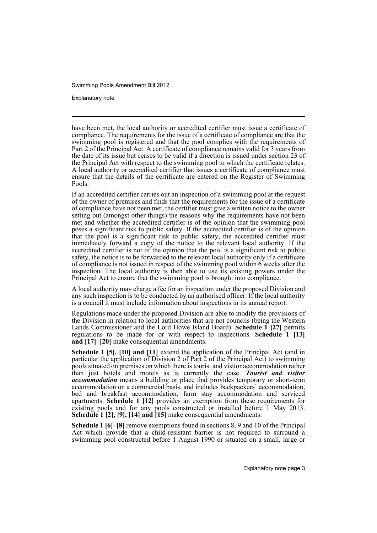Explanatory note

have been met, the local authority or accredited certifier must issue a certificate of compliance. The requirements for the issue of a certificate of compliance are that the swimming pool is registered and that the pool complies with the requirements of Part 2 of the Principal Act. A certificate of compliance remains valid for 3 years from the date of its issue but ceases to be valid if a direction is issued under section 23 of the Principal Act with respect to the swimming pool to which the certificate relates. A local authority or accredited certifier that issues a certificate of compliance must ensure that the details of the certificate are entered on the Register of Swimming Pools.

If an accredited certifier carries out an inspection of a swimming pool at the request of the owner of premises and finds that the requirements for the issue of a certificate of compliance have not been met, the certifier must give a written notice to the owner setting out (amongst other things) the reasons why the requirements have not been met and whether the accredited certifier is of the opinion that the swimming pool poses a significant risk to public safety. If the accredited certifier is of the opinion that the pool is a significant risk to public safety, the accredited certifier must immediately forward a copy of the notice to the relevant local authority. If the accredited certifier is not of the opinion that the pool is a significant risk to public safety, the notice is to be forwarded to the relevant local authority only if a certificate of compliance is not issued in respect of the swimming pool within 6 weeks after the inspection. The local authority is then able to use its existing powers under the Principal Act to ensure that the swimming pool is brought into compliance.

A local authority may charge a fee for an inspection under the proposed Division and any such inspection is to be conducted by an authorised officer. If the local authority is a council it must include information about inspections in its annual report.

Regulations made under the proposed Division are able to modify the provisions of the Division in relation to local authorities that are not councils (being the Western Lands Commissioner and the Lord Howe Island Board). **Schedule 1 [27]** permits regulations to be made for or with respect to inspections. **Schedule 1 [13] and [17]–[20]** make consequential amendments.

**Schedule 1 [5], [10] and [11]** extend the application of the Principal Act (and in particular the application of Division 2 of Part 2 of the Principal Act) to swimming pools situated on premises on which there is tourist and visitor accommodation rather than just hotels and motels as is currently the case. *Tourist and visitor accommodation* means a building or place that provides temporary or short-term accommodation on a commercial basis, and includes backpackers' accommodation, bed and breakfast accommodation, farm stay accommodation and serviced apartments. **Schedule 1 [12]** provides an exemption from these requirements for existing pools and for any pools constructed or installed before 1 May 2013. **Schedule 1 [2], [9], [14] and [15]** make consequential amendments.

**Schedule 1 [6]–[8]** remove exemptions found in sections 8, 9 and 10 of the Principal Act which provide that a child-resistant barrier is not required to surround a swimming pool constructed before 1 August 1990 or situated on a small, large or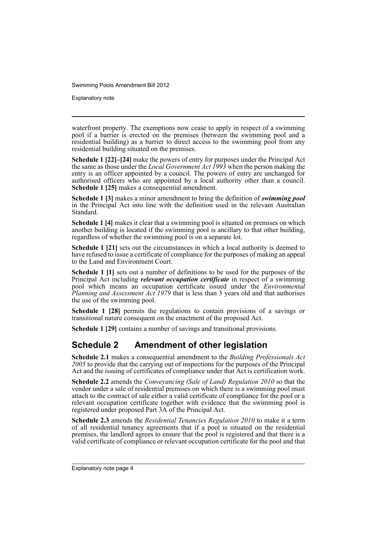Explanatory note

waterfront property. The exemptions now cease to apply in respect of a swimming pool if a barrier is erected on the premises (between the swimming pool and a residential building) as a barrier to direct access to the swimming pool from any residential building situated on the premises.

**Schedule 1 [22]–[24]** make the powers of entry for purposes under the Principal Act the same as those under the *Local Government Act 1993* when the person making the entry is an officer appointed by a council. The powers of entry are unchanged for authorised officers who are appointed by a local authority other than a council. **Schedule 1 [25]** makes a consequential amendment.

**Schedule 1 [3]** makes a minor amendment to bring the definition of *swimming pool* in the Principal Act into line with the definition used in the relevant Australian Standard.

**Schedule 1 [4]** makes it clear that a swimming pool is situated on premises on which another building is located if the swimming pool is ancillary to that other building, regardless of whether the swimming pool is on a separate lot.

**Schedule 1 [21]** sets out the circumstances in which a local authority is deemed to have refused to issue a certificate of compliance for the purposes of making an appeal to the Land and Environment Court.

**Schedule 1 [1]** sets out a number of definitions to be used for the purposes of the Principal Act including *relevant occupation certificate* in respect of a swimming pool which means an occupation certificate issued under the *Environmental Planning and Assessment Act 1979* that is less than 3 years old and that authorises the use of the swimming pool.

**Schedule 1 [28]** permits the regulations to contain provisions of a savings or transitional nature consequent on the enactment of the proposed Act.

**Schedule 1 [29]** contains a number of savings and transitional provisions.

## **Schedule 2 Amendment of other legislation**

**Schedule 2.1** makes a consequential amendment to the *Building Professionals Act 2005* to provide that the carrying out of inspections for the purposes of the Principal Act and the issuing of certificates of compliance under that Act is certification work.

**Schedule 2.2** amends the *Conveyancing (Sale of Land) Regulation 2010* so that the vendor under a sale of residential premises on which there is a swimming pool must attach to the contract of sale either a valid certificate of compliance for the pool or a relevant occupation certificate together with evidence that the swimming pool is registered under proposed Part 3A of the Principal Act.

**Schedule 2.3** amends the *Residential Tenancies Regulation 2010* to make it a term of all residential tenancy agreements that if a pool is situated on the residential premises, the landlord agrees to ensure that the pool is registered and that there is a valid certificate of compliance or relevant occupation certificate for the pool and that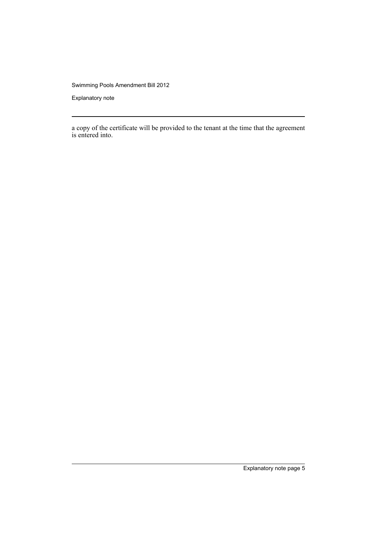Explanatory note

a copy of the certificate will be provided to the tenant at the time that the agreement is entered into.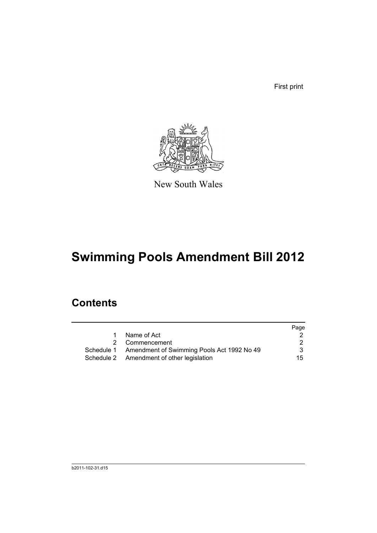First print



New South Wales

# **Swimming Pools Amendment Bill 2012**

## **Contents**

|   |                                                       | Page |
|---|-------------------------------------------------------|------|
| 1 | Name of Act                                           |      |
|   | 2 Commencement                                        |      |
|   | Schedule 1 Amendment of Swimming Pools Act 1992 No 49 |      |
|   | Schedule 2 Amendment of other legislation             | 15   |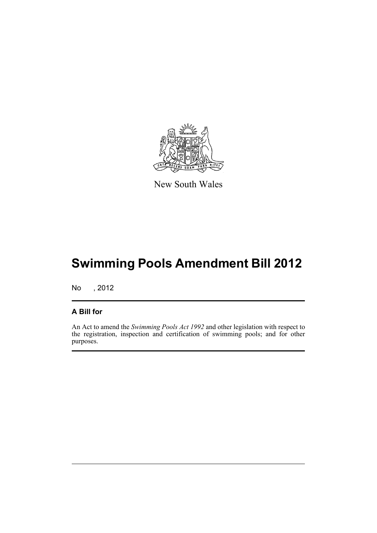

New South Wales

# **Swimming Pools Amendment Bill 2012**

No , 2012

## **A Bill for**

An Act to amend the *Swimming Pools Act 1992* and other legislation with respect to the registration, inspection and certification of swimming pools; and for other purposes.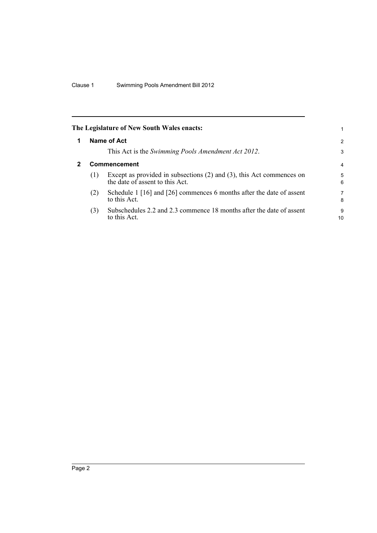<span id="page-9-1"></span><span id="page-9-0"></span>

|   |              | The Legislature of New South Wales enacts:                                                                   | 1       |  |
|---|--------------|--------------------------------------------------------------------------------------------------------------|---------|--|
|   |              | Name of Act                                                                                                  | 2       |  |
|   |              | This Act is the Swimming Pools Amendment Act 2012.                                                           | 3       |  |
| 2 | Commencement |                                                                                                              |         |  |
|   | (1)          | Except as provided in subsections $(2)$ and $(3)$ , this Act commences on<br>the date of assent to this Act. | 5<br>6  |  |
|   | (2)          | Schedule 1 [16] and [26] commences 6 months after the date of assent<br>to this Act.                         | 7<br>8  |  |
|   | (3)          | Subschedules 2.2 and 2.3 commence 18 months after the date of assent<br>to this Act.                         | 9<br>10 |  |
|   |              |                                                                                                              |         |  |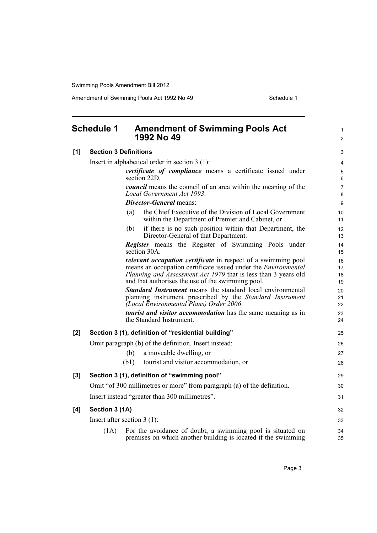<span id="page-10-0"></span>

|     | <b>Schedule 1</b>            | <b>Amendment of Swimming Pools Act</b><br>1992 No 49                                                                                                                      | $\mathbf{1}$<br>$\overline{2}$ |
|-----|------------------------------|---------------------------------------------------------------------------------------------------------------------------------------------------------------------------|--------------------------------|
| [1] | <b>Section 3 Definitions</b> |                                                                                                                                                                           |                                |
|     |                              | Insert in alphabetical order in section $3(1)$ :                                                                                                                          | 4                              |
|     |                              | certificate of compliance means a certificate issued under<br>section 22D.                                                                                                | 5<br>6                         |
|     |                              | <i>council</i> means the council of an area within the meaning of the<br>Local Government Act 1993.                                                                       | $\overline{7}$<br>8            |
|     |                              | <b>Director-General</b> means:                                                                                                                                            | 9                              |
|     |                              | the Chief Executive of the Division of Local Government<br>(a)<br>within the Department of Premier and Cabinet, or                                                        | 10<br>11                       |
|     |                              | if there is no such position within that Department, the<br>(b)<br>Director-General of that Department.                                                                   | 12<br>13                       |
|     |                              | Register means the Register of Swimming Pools under<br>section 30A.                                                                                                       | 14<br>15                       |
|     |                              | <i>relevant occupation certificate</i> in respect of a swimming pool                                                                                                      | 16                             |
|     |                              | means an occupation certificate issued under the <i>Environmental</i><br>Planning and Assessment Act 1979 that is less than 3 years old                                   | 17<br>18                       |
|     |                              | and that authorises the use of the swimming pool.                                                                                                                         | 19                             |
|     |                              | <b>Standard Instrument</b> means the standard local environmental<br>planning instrument prescribed by the Standard Instrument<br>(Local Environmental Plans) Order 2006. | 20<br>21<br>22                 |
|     |                              | <i>tourist and visitor accommodation</i> has the same meaning as in<br>the Standard Instrument.                                                                           | 23<br>24                       |
| [2] |                              | Section 3 (1), definition of "residential building"                                                                                                                       | 25                             |
|     |                              | Omit paragraph (b) of the definition. Insert instead:                                                                                                                     | 26                             |
|     |                              | a moveable dwelling, or<br>(b)                                                                                                                                            | 27                             |
|     |                              | (b1)<br>tourist and visitor accommodation, or                                                                                                                             | 28                             |
| [3] |                              | Section 3 (1), definition of "swimming pool"                                                                                                                              | 29                             |
|     |                              | Omit "of 300 millimetres or more" from paragraph (a) of the definition.                                                                                                   | 30                             |
|     |                              | Insert instead "greater than 300 millimetres".                                                                                                                            | 31                             |
| [4] | Section 3 (1A)               |                                                                                                                                                                           | 32                             |
|     |                              | Insert after section $3(1)$ :                                                                                                                                             | 33                             |
|     | (1A)                         | For the avoidance of doubt, a swimming pool is situated on<br>premises on which another building is located if the swimming                                               | 34<br>35                       |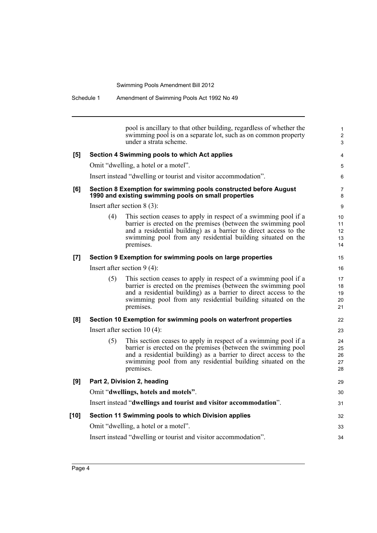|        |     | pool is ancillary to that other building, regardless of whether the<br>swimming pool is on a separate lot, such as on common property<br>under a strata scheme.                                                                                                                  | $\mathbf{1}$<br>$\overline{\mathbf{c}}$<br>3 |
|--------|-----|----------------------------------------------------------------------------------------------------------------------------------------------------------------------------------------------------------------------------------------------------------------------------------|----------------------------------------------|
| [5]    |     | Section 4 Swimming pools to which Act applies                                                                                                                                                                                                                                    | $\overline{4}$                               |
|        |     | Omit "dwelling, a hotel or a motel".                                                                                                                                                                                                                                             | 5                                            |
|        |     | Insert instead "dwelling or tourist and visitor accommodation".                                                                                                                                                                                                                  | 6                                            |
| [6]    |     | Section 8 Exemption for swimming pools constructed before August<br>1990 and existing swimming pools on small properties                                                                                                                                                         | 7<br>8                                       |
|        |     | Insert after section $8(3)$ :                                                                                                                                                                                                                                                    | 9                                            |
|        | (4) | This section ceases to apply in respect of a swimming pool if a<br>barrier is erected on the premises (between the swimming pool<br>and a residential building) as a barrier to direct access to the<br>swimming pool from any residential building situated on the<br>premises. | 10<br>11<br>12<br>13<br>14                   |
| [7]    |     | Section 9 Exemption for swimming pools on large properties                                                                                                                                                                                                                       | 15                                           |
|        |     | Insert after section $9(4)$ :                                                                                                                                                                                                                                                    | 16                                           |
|        | (5) | This section ceases to apply in respect of a swimming pool if a<br>barrier is erected on the premises (between the swimming pool<br>and a residential building) as a barrier to direct access to the<br>swimming pool from any residential building situated on the<br>premises. | 17<br>18<br>19<br>20<br>21                   |
| [8]    |     | Section 10 Exemption for swimming pools on waterfront properties                                                                                                                                                                                                                 | 22                                           |
|        |     | Insert after section $10(4)$ :                                                                                                                                                                                                                                                   | 23                                           |
|        | (5) | This section ceases to apply in respect of a swimming pool if a<br>barrier is erected on the premises (between the swimming pool<br>and a residential building) as a barrier to direct access to the<br>swimming pool from any residential building situated on the<br>premises. | 24<br>25<br>26<br>27<br>28                   |
| [9]    |     | Part 2, Division 2, heading                                                                                                                                                                                                                                                      | 29                                           |
|        |     | Omit "dwellings, hotels and motels".                                                                                                                                                                                                                                             | 30                                           |
|        |     | Insert instead "dwellings and tourist and visitor accommodation".                                                                                                                                                                                                                | 31                                           |
| $[10]$ |     | Section 11 Swimming pools to which Division applies                                                                                                                                                                                                                              | 32                                           |
|        |     | Omit "dwelling, a hotel or a motel".                                                                                                                                                                                                                                             | 33                                           |
|        |     | Insert instead "dwelling or tourist and visitor accommodation".                                                                                                                                                                                                                  | 34                                           |
|        |     |                                                                                                                                                                                                                                                                                  |                                              |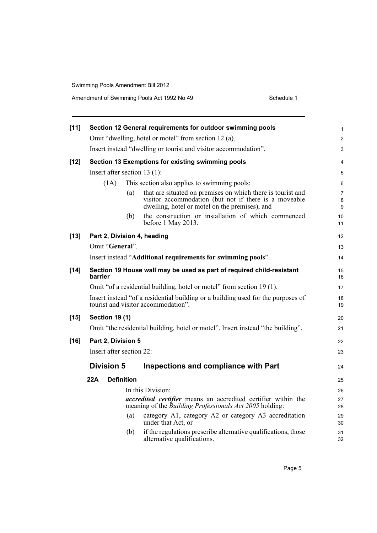| $[11]$ |                                |                   | Section 12 General requirements for outdoor swimming pools                                                                                                             | $\mathbf{1}$             |
|--------|--------------------------------|-------------------|------------------------------------------------------------------------------------------------------------------------------------------------------------------------|--------------------------|
|        |                                |                   | Omit "dwelling, hotel or motel" from section 12 (a).                                                                                                                   | $\overline{2}$           |
|        |                                |                   | Insert instead "dwelling or tourist and visitor accommodation".                                                                                                        | 3                        |
| $[12]$ |                                |                   | Section 13 Exemptions for existing swimming pools                                                                                                                      | $\overline{4}$           |
|        | Insert after section $13(1)$ : |                   |                                                                                                                                                                        | 5                        |
|        | (1A)                           |                   | This section also applies to swimming pools:                                                                                                                           | 6                        |
|        |                                | (a)               | that are situated on premises on which there is tourist and<br>visitor accommodation (but not if there is a moveable<br>dwelling, hotel or motel on the premises), and | $\overline{7}$<br>8<br>9 |
|        |                                | (b)               | the construction or installation of which commenced<br>before 1 May 2013.                                                                                              | 10<br>11                 |
| $[13]$ | Part 2, Division 4, heading    |                   |                                                                                                                                                                        | 12                       |
|        | Omit "General".                |                   |                                                                                                                                                                        | 13                       |
|        |                                |                   | Insert instead "Additional requirements for swimming pools".                                                                                                           | 14                       |
| $[14]$ | barrier                        |                   | Section 19 House wall may be used as part of required child-resistant                                                                                                  | 15<br>16                 |
|        |                                |                   | Omit "of a residential building, hotel or motel" from section 19 (1).                                                                                                  | 17                       |
|        |                                |                   | Insert instead "of a residential building or a building used for the purposes of<br>tourist and visitor accommodation".                                                | 18<br>19                 |
| $[15]$ | <b>Section 19 (1)</b>          |                   |                                                                                                                                                                        | 20                       |
|        |                                |                   | Omit "the residential building, hotel or motel". Insert instead "the building".                                                                                        | 21                       |
| $[16]$ | Part 2, Division 5             |                   |                                                                                                                                                                        | 22                       |
|        | Insert after section 22:       |                   |                                                                                                                                                                        | 23                       |
|        | <b>Division 5</b>              |                   | Inspections and compliance with Part                                                                                                                                   | 24                       |
|        | 22A                            | <b>Definition</b> |                                                                                                                                                                        | 25                       |
|        |                                |                   | In this Division:                                                                                                                                                      | 26                       |
|        |                                |                   | <i>accredited certifier</i> means an accredited certifier within the<br>meaning of the <i>Building Professionals Act 2005</i> holding:                                 | 27<br>28                 |
|        |                                | (a)               | category A1, category A2 or category A3 accreditation<br>under that Act, or                                                                                            | 29<br>30                 |
|        |                                | (b)               | if the regulations prescribe alternative qualifications, those<br>alternative qualifications.                                                                          | 31<br>32                 |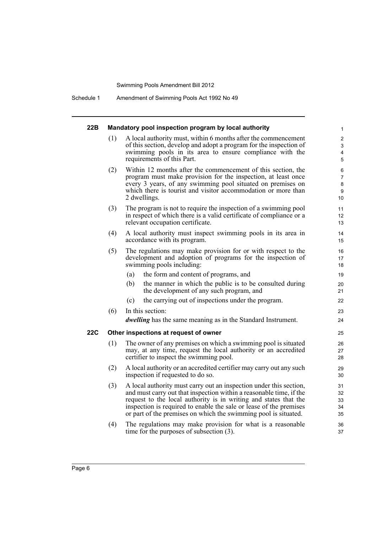Schedule 1 Amendment of Swimming Pools Act 1992 No 49

| 22B |     | Mandatory pool inspection program by local authority                                                                                                                                                                                                                                                                                                   | 1                                   |
|-----|-----|--------------------------------------------------------------------------------------------------------------------------------------------------------------------------------------------------------------------------------------------------------------------------------------------------------------------------------------------------------|-------------------------------------|
|     | (1) | A local authority must, within 6 months after the commencement<br>of this section, develop and adopt a program for the inspection of<br>swimming pools in its area to ensure compliance with the<br>requirements of this Part.                                                                                                                         | $\overline{2}$<br>3<br>4<br>5       |
|     | (2) | Within 12 months after the commencement of this section, the<br>program must make provision for the inspection, at least once<br>every 3 years, of any swimming pool situated on premises on<br>which there is tourist and visitor accommodation or more than<br>2 dwellings.                                                                          | 6<br>$\overline{7}$<br>8<br>9<br>10 |
|     | (3) | The program is not to require the inspection of a swimming pool<br>in respect of which there is a valid certificate of compliance or a<br>relevant occupation certificate.                                                                                                                                                                             | 11<br>12<br>13                      |
|     | (4) | A local authority must inspect swimming pools in its area in<br>accordance with its program.                                                                                                                                                                                                                                                           | 14<br>15                            |
|     | (5) | The regulations may make provision for or with respect to the<br>development and adoption of programs for the inspection of<br>swimming pools including:                                                                                                                                                                                               | 16<br>17<br>18                      |
|     |     | the form and content of programs, and<br>(a)                                                                                                                                                                                                                                                                                                           | 19                                  |
|     |     | (b)<br>the manner in which the public is to be consulted during<br>the development of any such program, and                                                                                                                                                                                                                                            | 20<br>21                            |
|     |     | the carrying out of inspections under the program.<br>(c)                                                                                                                                                                                                                                                                                              | 22                                  |
|     | (6) | In this section:                                                                                                                                                                                                                                                                                                                                       | 23                                  |
|     |     | <i>dwelling</i> has the same meaning as in the Standard Instrument.                                                                                                                                                                                                                                                                                    | 24                                  |
| 22C |     | Other inspections at request of owner                                                                                                                                                                                                                                                                                                                  | 25                                  |
|     | (1) | The owner of any premises on which a swimming pool is situated<br>may, at any time, request the local authority or an accredited<br>certifier to inspect the swimming pool.                                                                                                                                                                            | 26<br>27<br>28                      |
|     | (2) | A local authority or an accredited certifier may carry out any such<br>inspection if requested to do so.                                                                                                                                                                                                                                               | 29<br>30                            |
|     | (3) | A local authority must carry out an inspection under this section,<br>and must carry out that inspection within a reasonable time, if the<br>request to the local authority is in writing and states that the<br>inspection is required to enable the sale or lease of the premises<br>or part of the premises on which the swimming pool is situated. | 31<br>32<br>33<br>34<br>35          |
|     | (4) | The regulations may make provision for what is a reasonable<br>time for the purposes of subsection $(3)$ .                                                                                                                                                                                                                                             | 36<br>37                            |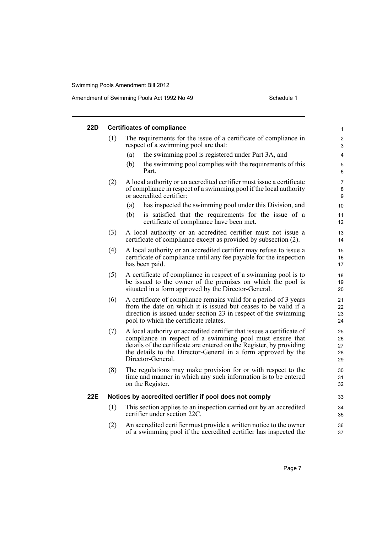| 22D |     | <b>Certificates of compliance</b>                                                                                                                                                                                                                                                                 | 1                          |
|-----|-----|---------------------------------------------------------------------------------------------------------------------------------------------------------------------------------------------------------------------------------------------------------------------------------------------------|----------------------------|
|     | (1) | The requirements for the issue of a certificate of compliance in<br>respect of a swimming pool are that:                                                                                                                                                                                          | $\overline{c}$<br>3        |
|     |     | the swimming pool is registered under Part 3A, and<br>(a)                                                                                                                                                                                                                                         | 4                          |
|     |     | the swimming pool complies with the requirements of this<br>(b)<br>Part.                                                                                                                                                                                                                          | 5<br>6                     |
|     | (2) | A local authority or an accredited certifier must issue a certificate<br>of compliance in respect of a swimming pool if the local authority<br>or accredited certifier:                                                                                                                           | 7<br>8<br>9                |
|     |     | has inspected the swimming pool under this Division, and<br>(a)                                                                                                                                                                                                                                   | 10                         |
|     |     | is satisfied that the requirements for the issue of a<br>(b)<br>certificate of compliance have been met.                                                                                                                                                                                          | 11<br>12                   |
|     | (3) | A local authority or an accredited certifier must not issue a<br>certificate of compliance except as provided by subsection (2).                                                                                                                                                                  | 13<br>14                   |
|     | (4) | A local authority or an accredited certifier may refuse to issue a<br>certificate of compliance until any fee payable for the inspection<br>has been paid.                                                                                                                                        | 15<br>16<br>17             |
|     | (5) | A certificate of compliance in respect of a swimming pool is to<br>be issued to the owner of the premises on which the pool is<br>situated in a form approved by the Director-General.                                                                                                            | 18<br>19<br>20             |
|     | (6) | A certificate of compliance remains valid for a period of 3 years<br>from the date on which it is issued but ceases to be valid if a<br>direction is issued under section 23 in respect of the swimming<br>pool to which the certificate relates.                                                 | 21<br>22<br>23<br>24       |
|     | (7) | A local authority or accredited certifier that issues a certificate of<br>compliance in respect of a swimming pool must ensure that<br>details of the certificate are entered on the Register, by providing<br>the details to the Director-General in a form approved by the<br>Director-General. | 25<br>26<br>27<br>28<br>29 |
|     | (8) | The regulations may make provision for or with respect to the<br>time and manner in which any such information is to be entered<br>on the Register.                                                                                                                                               | 30<br>31<br>32             |
| 22E |     | Notices by accredited certifier if pool does not comply                                                                                                                                                                                                                                           | 33                         |
|     | (1) | This section applies to an inspection carried out by an accredited<br>certifier under section 22C.                                                                                                                                                                                                | 34<br>35                   |
|     | (2) | An accredited certifier must provide a written notice to the owner<br>of a swimming pool if the accredited certifier has inspected the                                                                                                                                                            | 36<br>37                   |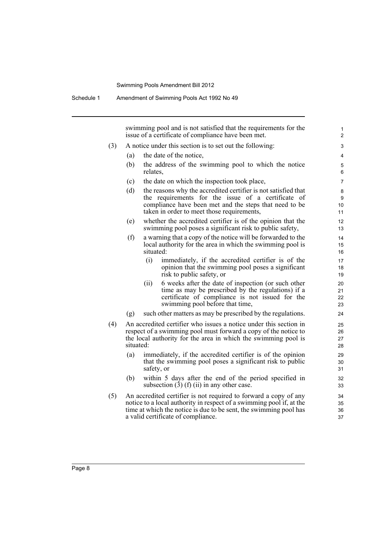swimming pool and is not satisfied that the requirements for the issue of a certificate of compliance have been met.

- (3) A notice under this section is to set out the following:
	- (a) the date of the notice,
	- (b) the address of the swimming pool to which the notice relates,
	- (c) the date on which the inspection took place,
	- (d) the reasons why the accredited certifier is not satisfied that the requirements for the issue of a certificate of compliance have been met and the steps that need to be taken in order to meet those requirements,
	- (e) whether the accredited certifier is of the opinion that the swimming pool poses a significant risk to public safety,
	- (f) a warning that a copy of the notice will be forwarded to the local authority for the area in which the swimming pool is situated:
		- (i) immediately, if the accredited certifier is of the opinion that the swimming pool poses a significant risk to public safety, or
		- (ii) 6 weeks after the date of inspection (or such other time as may be prescribed by the regulations) if a certificate of compliance is not issued for the swimming pool before that time,
	- (g) such other matters as may be prescribed by the regulations.
- (4) An accredited certifier who issues a notice under this section in respect of a swimming pool must forward a copy of the notice to the local authority for the area in which the swimming pool is situated:
	- (a) immediately, if the accredited certifier is of the opinion that the swimming pool poses a significant risk to public safety, or
	- (b) within 5 days after the end of the period specified in subsection  $(3)$  (f) (ii) in any other case.
- (5) An accredited certifier is not required to forward a copy of any notice to a local authority in respect of a swimming pool if, at the time at which the notice is due to be sent, the swimming pool has a valid certificate of compliance.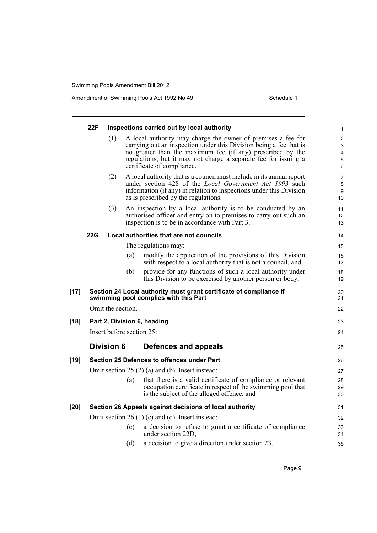|        | 22F |                              |     | Inspections carried out by local authority                                                                                                                                                                                                                                                        | 1                     |  |
|--------|-----|------------------------------|-----|---------------------------------------------------------------------------------------------------------------------------------------------------------------------------------------------------------------------------------------------------------------------------------------------------|-----------------------|--|
|        |     | (1)                          |     | A local authority may charge the owner of premises a fee for<br>carrying out an inspection under this Division being a fee that is<br>no greater than the maximum fee (if any) prescribed by the<br>regulations, but it may not charge a separate fee for issuing a<br>certificate of compliance. | 2<br>3<br>4<br>5<br>6 |  |
|        |     | (2)                          |     | A local authority that is a council must include in its annual report<br>under section 428 of the Local Government Act 1993 such<br>information (if any) in relation to inspections under this Division<br>as is prescribed by the regulations.                                                   | 7<br>8<br>9<br>10     |  |
|        |     | (3)                          |     | An inspection by a local authority is to be conducted by an<br>authorised officer and entry on to premises to carry out such an<br>inspection is to be in accordance with Part 3.                                                                                                                 | 11<br>12<br>13        |  |
|        | 22G |                              |     | Local authorities that are not councils                                                                                                                                                                                                                                                           | 14                    |  |
|        |     |                              |     | The regulations may:                                                                                                                                                                                                                                                                              | 15                    |  |
|        |     |                              | (a) | modify the application of the provisions of this Division<br>with respect to a local authority that is not a council, and                                                                                                                                                                         | 16<br>17              |  |
|        |     |                              | (b) | provide for any functions of such a local authority under<br>this Division to be exercised by another person or body.                                                                                                                                                                             | 18<br>19              |  |
| $[17]$ |     |                              |     | Section 24 Local authority must grant certificate of compliance if<br>swimming pool complies with this Part                                                                                                                                                                                       | 20<br>21              |  |
|        |     | Omit the section.            |     |                                                                                                                                                                                                                                                                                                   | 22                    |  |
| $[18]$ |     |                              |     | Part 2, Division 6, heading                                                                                                                                                                                                                                                                       | 23                    |  |
|        |     | Insert before section $25$ : |     |                                                                                                                                                                                                                                                                                                   |                       |  |
|        |     | <b>Division 6</b>            |     | Defences and appeals                                                                                                                                                                                                                                                                              | 25                    |  |
| $[19]$ |     |                              |     | Section 25 Defences to offences under Part                                                                                                                                                                                                                                                        | 26                    |  |
|        |     |                              |     | Omit section $25(2)$ (a) and (b). Insert instead:                                                                                                                                                                                                                                                 | 27                    |  |
|        |     |                              | (a) | that there is a valid certificate of compliance or relevant<br>occupation certificate in respect of the swimming pool that<br>is the subject of the alleged offence, and                                                                                                                          | 28<br>29<br>30        |  |
| $[20]$ |     |                              |     | Section 26 Appeals against decisions of local authority                                                                                                                                                                                                                                           | 31                    |  |
|        |     |                              |     | Omit section 26 $(1)$ (c) and (d). Insert instead:                                                                                                                                                                                                                                                | 32                    |  |
|        |     |                              | (c) | a decision to refuse to grant a certificate of compliance<br>under section 22D.                                                                                                                                                                                                                   | 33<br>34              |  |
|        |     |                              | (d) | a decision to give a direction under section 23.                                                                                                                                                                                                                                                  | 35                    |  |
|        |     |                              |     |                                                                                                                                                                                                                                                                                                   |                       |  |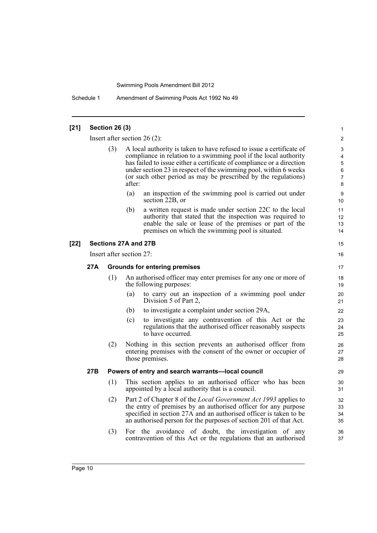Schedule 1 Amendment of Swimming Pools Act 1992 No 49

### **[21] Section 26 (3)** Insert after section 26 (2): (3) A local authority is taken to have refused to issue a certificate of compliance in relation to a swimming pool if the local authority has failed to issue either a certificate of compliance or a direction under section 23 in respect of the swimming pool, within 6 weeks (or such other period as may be prescribed by the regulations) after: (a) an inspection of the swimming pool is carried out under section 22B, or (b) a written request is made under section 22C to the local authority that stated that the inspection was required to enable the sale or lease of the premises or part of the premises on which the swimming pool is situated. **[22] Sections 27A and 27B** Insert after section 27: **27A Grounds for entering premises** (1) An authorised officer may enter premises for any one or more of the following purposes: (a) to carry out an inspection of a swimming pool under Division 5 of Part 2, (b) to investigate a complaint under section 29A, (c) to investigate any contravention of this Act or the regulations that the authorised officer reasonably suspects to have occurred. (2) Nothing in this section prevents an authorised officer from entering premises with the consent of the owner or occupier of those premises. **27B Powers of entry and search warrants—local council** (1) This section applies to an authorised officer who has been appointed by a local authority that is a council. (2) Part 2 of Chapter 8 of the *Local Government Act 1993* applies to the entry of premises by an authorised officer for any purpose specified in section 27A and an authorised officer is taken to be an authorised person for the purposes of section 201 of that Act. (3) For the avoidance of doubt, the investigation of any contravention of this Act or the regulations that an authorised 1  $\mathfrak{p}$ 3 4 5 6 7 8 9 10 11 12 13 14 15 16 17 18 19  $20$ 21 22 23 24 25 26 27 28 29 30 31 32 33 34 35 36 37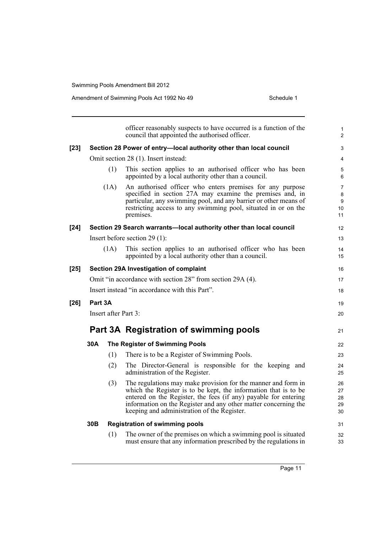|        |                      |      | officer reasonably suspects to have occurred is a function of the<br>council that appointed the authorised officer.                                                                                                                                                                                                   | $\mathbf{1}$<br>$\overline{2}$       |  |
|--------|----------------------|------|-----------------------------------------------------------------------------------------------------------------------------------------------------------------------------------------------------------------------------------------------------------------------------------------------------------------------|--------------------------------------|--|
| $[23]$ |                      |      | Section 28 Power of entry-local authority other than local council                                                                                                                                                                                                                                                    | 3                                    |  |
|        |                      |      | Omit section 28 (1). Insert instead:                                                                                                                                                                                                                                                                                  | 4                                    |  |
|        |                      | (1)  | This section applies to an authorised officer who has been<br>appointed by a local authority other than a council.                                                                                                                                                                                                    | 5<br>6                               |  |
|        |                      | (1A) | An authorised officer who enters premises for any purpose<br>specified in section 27A may examine the premises and, in<br>particular, any swimming pool, and any barrier or other means of<br>restricting access to any swimming pool, situated in or on the<br>premises.                                             | $\overline{7}$<br>8<br>9<br>10<br>11 |  |
| [24]   |                      |      | Section 29 Search warrants-local authority other than local council                                                                                                                                                                                                                                                   | 12                                   |  |
|        |                      |      | Insert before section $29(1)$ :                                                                                                                                                                                                                                                                                       | 13                                   |  |
|        |                      | (1A) | This section applies to an authorised officer who has been<br>appointed by a local authority other than a council.                                                                                                                                                                                                    | 14<br>15                             |  |
| $[25]$ |                      |      | Section 29A Investigation of complaint                                                                                                                                                                                                                                                                                | 16                                   |  |
|        |                      |      | Omit "in accordance with section 28" from section 29A (4).                                                                                                                                                                                                                                                            | 17                                   |  |
|        |                      |      | Insert instead "in accordance with this Part".                                                                                                                                                                                                                                                                        | 18                                   |  |
| [26]   | Part 3A              |      |                                                                                                                                                                                                                                                                                                                       | 19                                   |  |
|        | Insert after Part 3: |      |                                                                                                                                                                                                                                                                                                                       |                                      |  |
|        |                      |      | Part 3A Registration of swimming pools                                                                                                                                                                                                                                                                                | 21                                   |  |
|        | 30A                  |      | The Register of Swimming Pools                                                                                                                                                                                                                                                                                        | 22                                   |  |
|        |                      | (1)  | There is to be a Register of Swimming Pools.                                                                                                                                                                                                                                                                          | 23                                   |  |
|        |                      | (2)  | The Director-General is responsible for the keeping and<br>administration of the Register.                                                                                                                                                                                                                            | 24<br>25                             |  |
|        |                      | (3)  | The regulations may make provision for the manner and form in<br>which the Register is to be kept, the information that is to be<br>entered on the Register, the fees (if any) payable for entering<br>information on the Register and any other matter concerning the<br>keeping and administration of the Register. | 26<br>27<br>28<br>29<br>30           |  |
|        | 30 <sub>B</sub>      |      | <b>Registration of swimming pools</b>                                                                                                                                                                                                                                                                                 | 31                                   |  |
|        |                      | (1)  | The owner of the premises on which a swimming pool is situated<br>must ensure that any information prescribed by the regulations in                                                                                                                                                                                   | 32<br>33                             |  |
|        |                      |      |                                                                                                                                                                                                                                                                                                                       |                                      |  |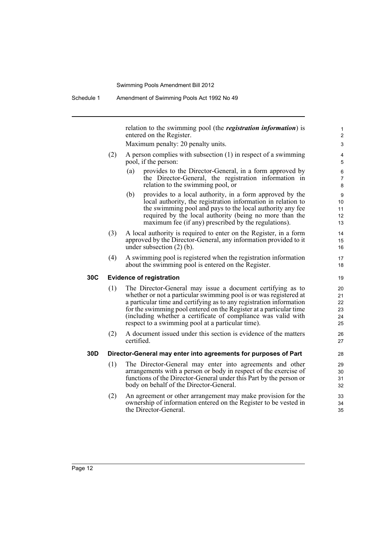relation to the swimming pool (the *registration information*) is entered on the Register.

Maximum penalty: 20 penalty units.

- (2) A person complies with subsection (1) in respect of a swimming pool, if the person:
	- (a) provides to the Director-General, in a form approved by the Director-General, the registration information in relation to the swimming pool, or
	- (b) provides to a local authority, in a form approved by the local authority, the registration information in relation to the swimming pool and pays to the local authority any fee required by the local authority (being no more than the maximum fee (if any) prescribed by the regulations).
- (3) A local authority is required to enter on the Register, in a form approved by the Director-General, any information provided to it under subsection (2) (b).
- (4) A swimming pool is registered when the registration information about the swimming pool is entered on the Register.

## **30C Evidence of registration**

- (1) The Director-General may issue a document certifying as to whether or not a particular swimming pool is or was registered at a particular time and certifying as to any registration information for the swimming pool entered on the Register at a particular time (including whether a certificate of compliance was valid with respect to a swimming pool at a particular time).
- (2) A document issued under this section is evidence of the matters certified.

## **30D Director-General may enter into agreements for purposes of Part**

- (1) The Director-General may enter into agreements and other arrangements with a person or body in respect of the exercise of functions of the Director-General under this Part by the person or body on behalf of the Director-General.
- (2) An agreement or other arrangement may make provision for the ownership of information entered on the Register to be vested in the Director-General.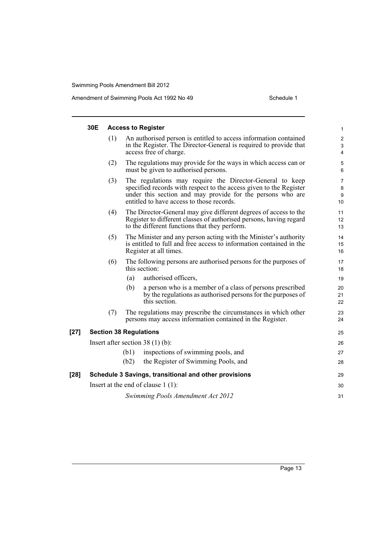|        | 30E                           |      | <b>Access to Register</b>                                                                                                                                                                                                                 | 1                                 |
|--------|-------------------------------|------|-------------------------------------------------------------------------------------------------------------------------------------------------------------------------------------------------------------------------------------------|-----------------------------------|
|        | (1)                           |      | An authorised person is entitled to access information contained<br>in the Register. The Director-General is required to provide that<br>access free of charge.                                                                           | $\overline{\mathbf{c}}$<br>3<br>4 |
|        | (2)                           |      | The regulations may provide for the ways in which access can or<br>must be given to authorised persons.                                                                                                                                   | 5<br>6                            |
|        | (3)                           |      | The regulations may require the Director-General to keep<br>specified records with respect to the access given to the Register<br>under this section and may provide for the persons who are<br>entitled to have access to those records. | 7<br>8<br>9<br>10                 |
|        | (4)                           |      | The Director-General may give different degrees of access to the<br>Register to different classes of authorised persons, having regard<br>to the different functions that they perform.                                                   | 11<br>12<br>13                    |
|        | (5)                           |      | The Minister and any person acting with the Minister's authority<br>is entitled to full and free access to information contained in the<br>Register at all times.                                                                         | 14<br>15<br>16                    |
|        | (6)                           |      | The following persons are authorised persons for the purposes of<br>this section:                                                                                                                                                         | 17<br>18                          |
|        |                               | (a)  | authorised officers,                                                                                                                                                                                                                      | 19                                |
|        |                               | (b)  | a person who is a member of a class of persons prescribed<br>by the regulations as authorised persons for the purposes of<br>this section.                                                                                                | 20<br>21<br>22                    |
|        | (7)                           |      | The regulations may prescribe the circumstances in which other<br>persons may access information contained in the Register.                                                                                                               | 23<br>24                          |
| $[27]$ | <b>Section 38 Regulations</b> |      |                                                                                                                                                                                                                                           | 25                                |
|        |                               |      | Insert after section $38(1)(b)$ :                                                                                                                                                                                                         | 26                                |
|        |                               | (b1) | inspections of swimming pools, and                                                                                                                                                                                                        | 27                                |
|        |                               | (b2) | the Register of Swimming Pools, and                                                                                                                                                                                                       | 28                                |
| $[28]$ |                               |      | Schedule 3 Savings, transitional and other provisions                                                                                                                                                                                     | 29                                |
|        |                               |      | Insert at the end of clause $1(1)$ :                                                                                                                                                                                                      | 30                                |
|        |                               |      | Swimming Pools Amendment Act 2012                                                                                                                                                                                                         | 31                                |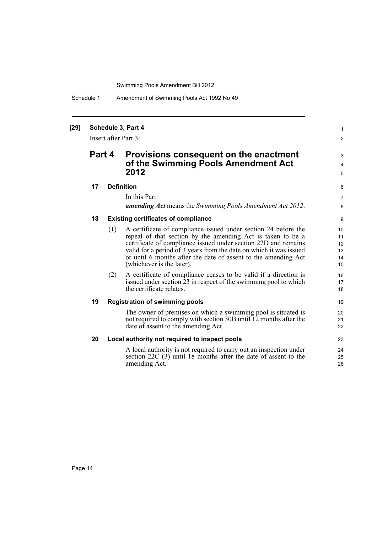Schedule 1 Amendment of Swimming Pools Act 1992 No 49

## **[29] Schedule 3, Part 4**

Insert after Part 3:

## **Part 4 Provisions consequent on the enactment of the Swimming Pools Amendment Act 2012**

### **17 Definition**

In this Part:

*amending Act* means the *Swimming Pools Amendment Act 2012*.

1 2

3 4 5

### **18 Existing certificates of compliance**

- (1) A certificate of compliance issued under section 24 before the repeal of that section by the amending Act is taken to be a certificate of compliance issued under section 22D and remains valid for a period of 3 years from the date on which it was issued or until 6 months after the date of assent to the amending Act (whichever is the later).
- (2) A certificate of compliance ceases to be valid if a direction is issued under section 23 in respect of the swimming pool to which the certificate relates.

## **19 Registration of swimming pools**

The owner of premises on which a swimming pool is situated is not required to comply with section 30B until 12 months after the date of assent to the amending Act.

### **20 Local authority not required to inspect pools**

A local authority is not required to carry out an inspection under section 22C (3) until 18 months after the date of assent to the amending Act.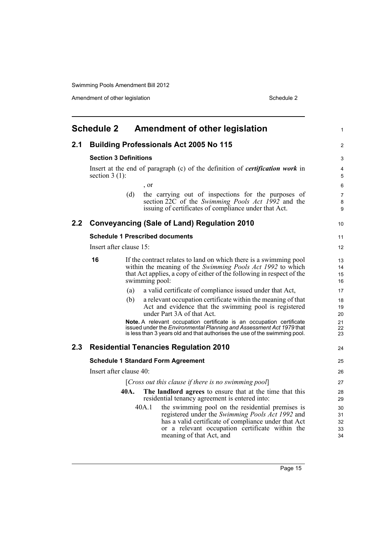Amendment of other legislation Schedule 2

<span id="page-22-0"></span>

|               | <b>Schedule 2</b>       | <b>Amendment of other legislation</b>                                                                                                                                                                                                                | 1                          |
|---------------|-------------------------|------------------------------------------------------------------------------------------------------------------------------------------------------------------------------------------------------------------------------------------------------|----------------------------|
| 2.1           |                         | <b>Building Professionals Act 2005 No 115</b>                                                                                                                                                                                                        | 2                          |
|               |                         | <b>Section 3 Definitions</b>                                                                                                                                                                                                                         | 3                          |
|               | section $3(1)$ :        | Insert at the end of paragraph (c) of the definition of <i>certification work</i> in                                                                                                                                                                 | 4<br>5                     |
|               |                         | , or                                                                                                                                                                                                                                                 | 6                          |
|               |                         | the carrying out of inspections for the purposes of<br>(d)<br>section 22C of the Swimming Pools Act 1992 and the<br>issuing of certificates of compliance under that Act.                                                                            | 7<br>8<br>9                |
| $2.2^{\circ}$ |                         | <b>Conveyancing (Sale of Land) Regulation 2010</b>                                                                                                                                                                                                   | 10                         |
|               |                         | <b>Schedule 1 Prescribed documents</b>                                                                                                                                                                                                               | 11                         |
|               | Insert after clause 15: |                                                                                                                                                                                                                                                      | 12                         |
|               | 16                      | If the contract relates to land on which there is a swimming pool<br>within the meaning of the Swimming Pools Act 1992 to which<br>that Act applies, a copy of either of the following in respect of the<br>swimming pool:                           | 13<br>14<br>15<br>16       |
|               |                         | a valid certificate of compliance issued under that Act,<br>(a)                                                                                                                                                                                      | 17                         |
|               |                         | (b)<br>a relevant occupation certificate within the meaning of that<br>Act and evidence that the swimming pool is registered<br>under Part 3A of that Act.                                                                                           | 18<br>19<br>20             |
|               |                         | Note. A relevant occupation certificate is an occupation certificate<br>issued under the Environmental Planning and Assessment Act 1979 that<br>is less than 3 years old and that authorises the use of the swimming pool.                           | 21<br>22<br>23             |
| 2.3           |                         | <b>Residential Tenancies Regulation 2010</b>                                                                                                                                                                                                         | 24                         |
|               |                         | <b>Schedule 1 Standard Form Agreement</b>                                                                                                                                                                                                            | 25                         |
|               | Insert after clause 40: |                                                                                                                                                                                                                                                      | 26                         |
|               |                         | [Cross out this clause if there is no swimming pool]                                                                                                                                                                                                 | 27                         |
|               |                         | The landlord agrees to ensure that at the time that this<br>40A.<br>residential tenancy agreement is entered into:                                                                                                                                   | 28<br>29                   |
|               |                         | the swimming pool on the residential premises is<br>40A.1<br>registered under the Swimming Pools Act 1992 and<br>has a valid certificate of compliance under that Act<br>or a relevant occupation certificate within the<br>meaning of that Act, and | 30<br>31<br>32<br>33<br>34 |